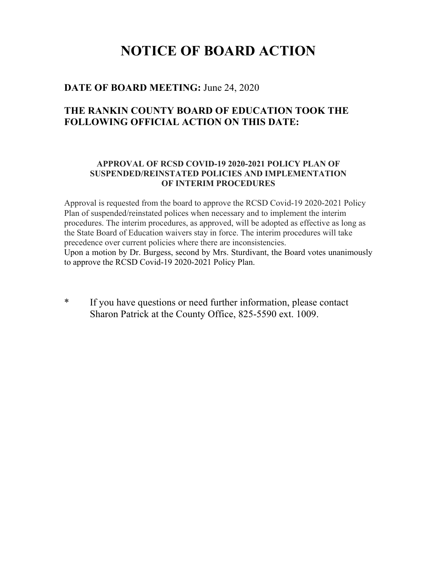## **NOTICE OF BOARD ACTION**

## **DATE OF BOARD MEETING:** June 24, 2020

## **THE RANKIN COUNTY BOARD OF EDUCATION TOOK THE FOLLOWING OFFICIAL ACTION ON THIS DATE:**

## **APPROVAL OF RCSD COVID-19 2020-2021 POLICY PLAN OF SUSPENDED/REINSTATED POLICIES AND IMPLEMENTATION OF INTERIM PROCEDURES**

Approval is requested from the board to approve the RCSD Covid-19 2020-2021 Policy Plan of suspended/reinstated polices when necessary and to implement the interim procedures. The interim procedures, as approved, will be adopted as effective as long as the State Board of Education waivers stay in force. The interim procedures will take precedence over current policies where there are inconsistencies. Upon a motion by Dr. Burgess, second by Mrs. Sturdivant, the Board votes unanimously to approve the RCSD Covid-19 2020-2021 Policy Plan.

\* If you have questions or need further information, please contact Sharon Patrick at the County Office, 825-5590 ext. 1009.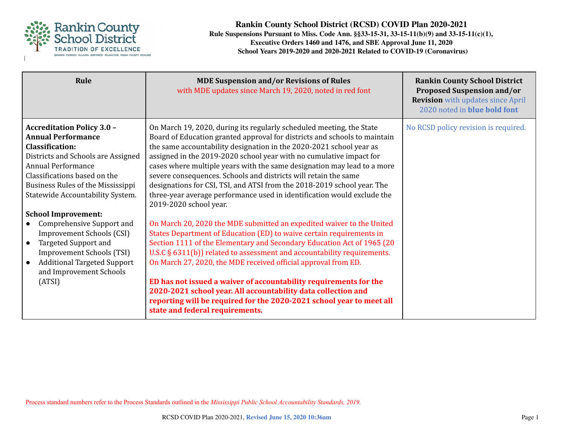

| Rule                                                                                                                                                                                                                                                                                               | <b>MDE Suspension and/or Revisions of Rules</b><br>with MDE updates since March 19, 2020, noted in red font                                                                                                                                                                                                                                                                                                                                                                                                                                                                                                                   | <b>Rankin County School District</b><br><b>Proposed Suspension and/or</b><br><b>Revision</b> with updates since April<br>2020 noted in blue bold font |
|----------------------------------------------------------------------------------------------------------------------------------------------------------------------------------------------------------------------------------------------------------------------------------------------------|-------------------------------------------------------------------------------------------------------------------------------------------------------------------------------------------------------------------------------------------------------------------------------------------------------------------------------------------------------------------------------------------------------------------------------------------------------------------------------------------------------------------------------------------------------------------------------------------------------------------------------|-------------------------------------------------------------------------------------------------------------------------------------------------------|
| <b>Accreditation Policy 3.0 -</b><br><b>Annual Performance</b><br><b>Classification:</b><br>Districts and Schools are Assigned<br><b>Annual Performance</b><br>Classifications based on the<br>Business Rules of the Mississippi<br>Statewide Accountability System.<br><b>School Improvement:</b> | On March 19, 2020, during its regularly scheduled meeting, the State<br>Board of Education granted approval for districts and schools to maintain<br>the same accountability designation in the 2020-2021 school year as<br>assigned in the 2019-2020 school year with no cumulative impact for<br>cases where multiple years with the same designation may lead to a more<br>severe consequences. Schools and districts will retain the same<br>designations for CSI, TSI, and ATSI from the 2018-2019 school year. The<br>three-year average performance used in identification would exclude the<br>2019-2020 school year. | No RCSD policy revision is required.                                                                                                                  |
| Comprehensive Support and<br><b>Improvement Schools (CSI)</b><br><b>Targeted Support and</b><br><b>Improvement Schools (TSI)</b><br><b>Additional Targeted Support</b><br>and Improvement Schools<br>(ATSI)                                                                                        | On March 20, 2020 the MDE submitted an expedited waiver to the United<br>States Department of Education (ED) to waive certain requirements in<br>Section 1111 of the Elementary and Secondary Education Act of 1965 (20<br>U.S.C § 6311(b)) related to assessment and accountability requirements.<br>On March 27, 2020, the MDE received official approval from ED.<br>ED has not issued a waiver of accountability requirements for the<br>2020-2021 school year. All accountability data collection and<br>reporting will be required for the 2020-2021 school year to meet all<br>state and federal requirements.         |                                                                                                                                                       |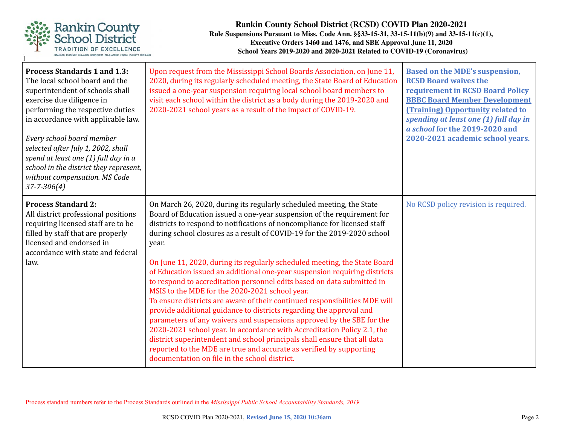

| <b>Process Standards 1 and 1.3:</b><br>The local school board and the<br>superintendent of schools shall<br>exercise due diligence in<br>performing the respective duties<br>in accordance with applicable law.<br>Every school board member<br>selected after July 1, 2002, shall<br>spend at least one (1) full day in a<br>school in the district they represent,<br>without compensation. MS Code<br>$37 - 7 - 306(4)$ | Upon request from the Mississippi School Boards Association, on June 11,<br>2020, during its regularly scheduled meeting, the State Board of Education<br>issued a one-year suspension requiring local school board members to<br>visit each school within the district as a body during the 2019-2020 and<br>2020-2021 school years as a result of the impact of COVID-19.                                                                                                                                                                                                                                                                                                                                                                                                                                                                                                                                                                                                                                                                                                                                        | <b>Based on the MDE's suspension,</b><br><b>RCSD Board waives the</b><br>requirement in RCSD Board Policy<br><b>BBBC Board Member Development</b><br><b>(Training) Opportunity related to</b><br>spending at least one (1) full day in<br>a school for the 2019-2020 and<br>2020-2021 academic school years. |
|----------------------------------------------------------------------------------------------------------------------------------------------------------------------------------------------------------------------------------------------------------------------------------------------------------------------------------------------------------------------------------------------------------------------------|--------------------------------------------------------------------------------------------------------------------------------------------------------------------------------------------------------------------------------------------------------------------------------------------------------------------------------------------------------------------------------------------------------------------------------------------------------------------------------------------------------------------------------------------------------------------------------------------------------------------------------------------------------------------------------------------------------------------------------------------------------------------------------------------------------------------------------------------------------------------------------------------------------------------------------------------------------------------------------------------------------------------------------------------------------------------------------------------------------------------|--------------------------------------------------------------------------------------------------------------------------------------------------------------------------------------------------------------------------------------------------------------------------------------------------------------|
| <b>Process Standard 2:</b><br>All district professional positions<br>requiring licensed staff are to be<br>filled by staff that are properly<br>licensed and endorsed in<br>accordance with state and federal<br>law.                                                                                                                                                                                                      | On March 26, 2020, during its regularly scheduled meeting, the State<br>Board of Education issued a one-year suspension of the requirement for<br>districts to respond to notifications of noncompliance for licensed staff<br>during school closures as a result of COVID-19 for the 2019-2020 school<br>year.<br>On June 11, 2020, during its regularly scheduled meeting, the State Board<br>of Education issued an additional one-year suspension requiring districts<br>to respond to accreditation personnel edits based on data submitted in<br>MSIS to the MDE for the 2020-2021 school year.<br>To ensure districts are aware of their continued responsibilities MDE will<br>provide additional guidance to districts regarding the approval and<br>parameters of any waivers and suspensions approved by the SBE for the<br>2020-2021 school year. In accordance with Accreditation Policy 2.1, the<br>district superintendent and school principals shall ensure that all data<br>reported to the MDE are true and accurate as verified by supporting<br>documentation on file in the school district. | No RCSD policy revision is required.                                                                                                                                                                                                                                                                         |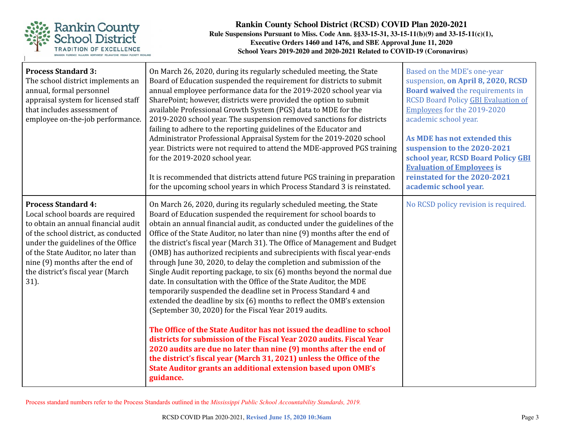

| <b>Process Standard 3:</b><br>The school district implements an<br>annual, formal personnel<br>appraisal system for licensed staff<br>that includes assessment of<br>employee on-the-job performance.                                                                                                       | On March 26, 2020, during its regularly scheduled meeting, the State<br>Board of Education suspended the requirement for districts to submit<br>annual employee performance data for the 2019-2020 school year via<br>SharePoint; however, districts were provided the option to submit<br>available Professional Growth System (PGS) data to MDE for the<br>2019-2020 school year. The suspension removed sanctions for districts<br>failing to adhere to the reporting guidelines of the Educator and<br>Administrator Professional Appraisal System for the 2019-2020 school<br>year. Districts were not required to attend the MDE-approved PGS training<br>for the 2019-2020 school year.<br>It is recommended that districts attend future PGS training in preparation<br>for the upcoming school years in which Process Standard 3 is reinstated.                                                                                                                                                                                                                                                                                                                                                                                                                      | Based on the MDE's one-year<br>suspension, on April 8, 2020, RCSD<br><b>Board waived the requirements in</b><br><b>RCSD Board Policy GBI Evaluation of</b><br>Employees for the 2019-2020<br>academic school year.<br>As MDE has not extended this<br>suspension to the 2020-2021<br>school year, RCSD Board Policy GBI<br><b>Evaluation of Employees is</b><br>reinstated for the 2020-2021<br>academic school year. |
|-------------------------------------------------------------------------------------------------------------------------------------------------------------------------------------------------------------------------------------------------------------------------------------------------------------|-------------------------------------------------------------------------------------------------------------------------------------------------------------------------------------------------------------------------------------------------------------------------------------------------------------------------------------------------------------------------------------------------------------------------------------------------------------------------------------------------------------------------------------------------------------------------------------------------------------------------------------------------------------------------------------------------------------------------------------------------------------------------------------------------------------------------------------------------------------------------------------------------------------------------------------------------------------------------------------------------------------------------------------------------------------------------------------------------------------------------------------------------------------------------------------------------------------------------------------------------------------------------------|-----------------------------------------------------------------------------------------------------------------------------------------------------------------------------------------------------------------------------------------------------------------------------------------------------------------------------------------------------------------------------------------------------------------------|
| <b>Process Standard 4:</b><br>Local school boards are required<br>to obtain an annual financial audit<br>of the school district, as conducted<br>under the guidelines of the Office<br>of the State Auditor, no later than<br>nine (9) months after the end of<br>the district's fiscal year (March<br>31). | On March 26, 2020, during its regularly scheduled meeting, the State<br>Board of Education suspended the requirement for school boards to<br>obtain an annual financial audit, as conducted under the guidelines of the<br>Office of the State Auditor, no later than nine (9) months after the end of<br>the district's fiscal year (March 31). The Office of Management and Budget<br>(OMB) has authorized recipients and subrecipients with fiscal year-ends<br>through June 30, 2020, to delay the completion and submission of the<br>Single Audit reporting package, to six (6) months beyond the normal due<br>date. In consultation with the Office of the State Auditor, the MDE<br>temporarily suspended the deadline set in Process Standard 4 and<br>extended the deadline by six (6) months to reflect the OMB's extension<br>(September 30, 2020) for the Fiscal Year 2019 audits.<br>The Office of the State Auditor has not issued the deadline to school<br>districts for submission of the Fiscal Year 2020 audits. Fiscal Year<br>2020 audits are due no later than nine (9) months after the end of<br>the district's fiscal year (March 31, 2021) unless the Office of the<br>State Auditor grants an additional extension based upon OMB's<br>guidance. | No RCSD policy revision is required.                                                                                                                                                                                                                                                                                                                                                                                  |

Process standard numbers refer to the Process Standards outlined in the *Mississippi Public School Accountability Standards, 2019.*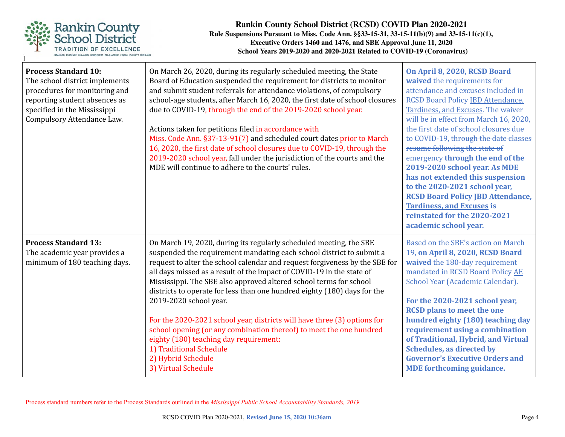

| <b>Process Standard 10:</b><br>The school district implements<br>procedures for monitoring and<br>reporting student absences as<br>specified in the Mississippi<br>Compulsory Attendance Law. | On March 26, 2020, during its regularly scheduled meeting, the State<br>Board of Education suspended the requirement for districts to monitor<br>and submit student referrals for attendance violations, of compulsory<br>school-age students, after March 16, 2020, the first date of school closures<br>due to COVID-19, through the end of the 2019-2020 school year.<br>Actions taken for petitions filed in accordance with<br>Miss. Code Ann. §37-13-91(7) and scheduled court dates prior to March<br>16, 2020, the first date of school closures due to COVID-19, through the<br>2019-2020 school year, fall under the jurisdiction of the courts and the<br>MDE will continue to adhere to the courts' rules.                              | On April 8, 2020, RCSD Board<br>waived the requirements for<br>attendance and excuses included in<br><b>RCSD Board Policy IBD Attendance,</b><br>Tardiness, and Excuses. The waiver<br>will be in effect from March 16, 2020,<br>the first date of school closures due<br>to COVID-19, through the date classes<br>resume following the state of<br>emergency through the end of the<br>2019-2020 school year. As MDE<br>has not extended this suspension<br>to the 2020-2021 school year,<br><b>RCSD Board Policy IBD Attendance,</b><br><b>Tardiness, and Excuses is</b><br>reinstated for the 2020-2021<br>academic school year. |
|-----------------------------------------------------------------------------------------------------------------------------------------------------------------------------------------------|-----------------------------------------------------------------------------------------------------------------------------------------------------------------------------------------------------------------------------------------------------------------------------------------------------------------------------------------------------------------------------------------------------------------------------------------------------------------------------------------------------------------------------------------------------------------------------------------------------------------------------------------------------------------------------------------------------------------------------------------------------|-------------------------------------------------------------------------------------------------------------------------------------------------------------------------------------------------------------------------------------------------------------------------------------------------------------------------------------------------------------------------------------------------------------------------------------------------------------------------------------------------------------------------------------------------------------------------------------------------------------------------------------|
| <b>Process Standard 13:</b><br>The academic year provides a<br>minimum of 180 teaching days.                                                                                                  | On March 19, 2020, during its regularly scheduled meeting, the SBE<br>suspended the requirement mandating each school district to submit a<br>request to alter the school calendar and request forgiveness by the SBE for<br>all days missed as a result of the impact of COVID-19 in the state of<br>Mississippi. The SBE also approved altered school terms for school<br>districts to operate for less than one hundred eighty (180) days for the<br>2019-2020 school year.<br>For the 2020-2021 school year, districts will have three (3) options for<br>school opening (or any combination thereof) to meet the one hundred<br>eighty (180) teaching day requirement:<br>1) Traditional Schedule<br>2) Hybrid Schedule<br>3) Virtual Schedule | Based on the SBE's action on March<br>19, on April 8, 2020, RCSD Board<br>waived the 180-day requirement<br>mandated in RCSD Board Policy AE<br>School Year (Academic Calendar).<br>For the 2020-2021 school year,<br><b>RCSD</b> plans to meet the one<br>hundred eighty (180) teaching day<br>requirement using a combination<br>of Traditional, Hybrid, and Virtual<br><b>Schedules, as directed by</b><br><b>Governor's Executive Orders and</b><br><b>MDE</b> forthcoming guidance.                                                                                                                                            |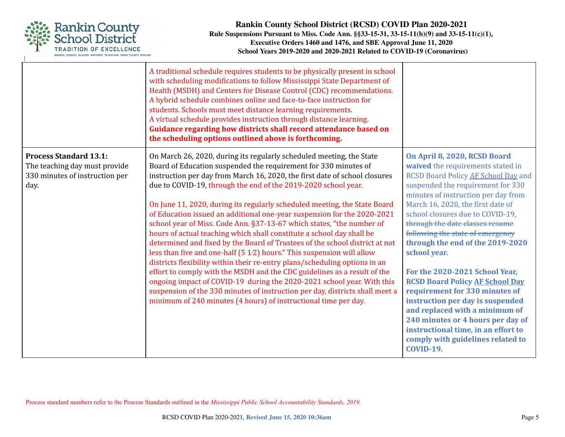

|                                                                                                          | A traditional schedule requires students to be physically present in school<br>with scheduling modifications to follow Mississippi State Department of<br>Health (MSDH) and Centers for Disease Control (CDC) recommendations.<br>A hybrid schedule combines online and face-to-face instruction for<br>students. Schools must meet distance learning requirements.<br>A virtual schedule provides instruction through distance learning.<br>Guidance regarding how districts shall record attendance based on<br>the scheduling options outlined above is forthcoming.                                                                                                                                                                                                                                                                                                                                                                                                                                                                                                                                                                            |                                                                                                                                                                                                                                                                                                                                                                                                                                                                                                                                                                                                                                                                                                                   |
|----------------------------------------------------------------------------------------------------------|----------------------------------------------------------------------------------------------------------------------------------------------------------------------------------------------------------------------------------------------------------------------------------------------------------------------------------------------------------------------------------------------------------------------------------------------------------------------------------------------------------------------------------------------------------------------------------------------------------------------------------------------------------------------------------------------------------------------------------------------------------------------------------------------------------------------------------------------------------------------------------------------------------------------------------------------------------------------------------------------------------------------------------------------------------------------------------------------------------------------------------------------------|-------------------------------------------------------------------------------------------------------------------------------------------------------------------------------------------------------------------------------------------------------------------------------------------------------------------------------------------------------------------------------------------------------------------------------------------------------------------------------------------------------------------------------------------------------------------------------------------------------------------------------------------------------------------------------------------------------------------|
| <b>Process Standard 13.1:</b><br>The teaching day must provide<br>330 minutes of instruction per<br>day. | On March 26, 2020, during its regularly scheduled meeting, the State<br>Board of Education suspended the requirement for 330 minutes of<br>instruction per day from March 16, 2020, the first date of school closures<br>due to COVID-19, through the end of the 2019-2020 school year.<br>On June 11, 2020, during its regularly scheduled meeting, the State Board<br>of Education issued an additional one-year suspension for the 2020-2021<br>school year of Miss. Code Ann. §37-13-67 which states, "the number of<br>hours of actual teaching which shall constitute a school day shall be<br>determined and fixed by the Board of Trustees of the school district at not<br>less than five and one-half $(51/2)$ hours." This suspension will allow<br>districts flexibility within their re-entry plans/scheduling options in an<br>effort to comply with the MSDH and the CDC guidelines as a result of the<br>ongoing impact of COVID-19 during the 2020-2021 school year. With this<br>suspension of the 330 minutes of instruction per day, districts shall meet a<br>minimum of 240 minutes (4 hours) of instructional time per day. | On April 8, 2020, RCSD Board<br>waived the requirements stated in<br>RCSD Board Policy AF School Day and<br>suspended the requirement for 330<br>minutes of instruction per day from<br>March 16, 2020, the first date of<br>school closures due to COVID-19,<br>through the date classes resume<br>following the state of emergency<br>through the end of the 2019-2020<br>school year.<br>For the 2020-2021 School Year,<br><b>RCSD Board Policy AF School Day</b><br>requirement for 330 minutes of<br>instruction per day is suspended<br>and replaced with a minimum of<br>240 minutes or 4 hours per day of<br>instructional time, in an effort to<br>comply with guidelines related to<br><b>COVID-19.</b> |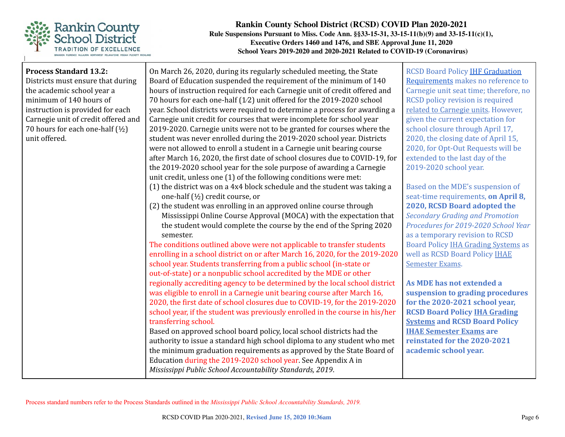

| <b>Process Standard 13.2:</b><br>Districts must ensure that during<br>the academic school year a<br>minimum of 140 hours of<br>instruction is provided for each<br>Carnegie unit of credit offered and<br>70 hours for each one-half (1/2)<br>unit offered. | On March 26, 2020, during its regularly scheduled meeting, the State<br>Board of Education suspended the requirement of the minimum of 140<br>hours of instruction required for each Carnegie unit of credit offered and<br>70 hours for each one-half (1/2) unit offered for the 2019-2020 school<br>year. School districts were required to determine a process for awarding a<br>Carnegie unit credit for courses that were incomplete for school year<br>2019-2020. Carnegie units were not to be granted for courses where the<br>student was never enrolled during the 2019-2020 school year. Districts<br>were not allowed to enroll a student in a Carnegie unit bearing course<br>after March 16, 2020, the first date of school closures due to COVID-19, for<br>the 2019-2020 school year for the sole purpose of awarding a Carnegie<br>unit credit, unless one (1) of the following conditions were met:<br>(1) the district was on a 4x4 block schedule and the student was taking a<br>one-half (1/2) credit course, or<br>(2) the student was enrolling in an approved online course through<br>Mississippi Online Course Approval (MOCA) with the expectation that<br>the student would complete the course by the end of the Spring 2020<br>semester.<br>The conditions outlined above were not applicable to transfer students<br>enrolling in a school district on or after March 16, 2020, for the 2019-2020<br>school year. Students transferring from a public school (in-state or<br>out-of-state) or a nonpublic school accredited by the MDE or other<br>regionally accrediting agency to be determined by the local school district<br>was eligible to enroll in a Carnegie unit bearing course after March 16,<br>2020, the first date of school closures due to COVID-19, for the 2019-2020<br>school year, if the student was previously enrolled in the course in his/her<br>transferring school.<br>Based on approved school board policy, local school districts had the<br>authority to issue a standard high school diploma to any student who met<br>the minimum graduation requirements as approved by the State Board of<br>Education during the 2019-2020 school year. See Appendix A in<br>Mississippi Public School Accountability Standards, 2019. | <b>RCSD Board Policy IHF Graduation</b><br>Requirements makes no reference to<br>Carnegie unit seat time; therefore, no<br><b>RCSD</b> policy revision is required<br>related to Carnegie units. However,<br>given the current expectation for<br>school closure through April 17,<br>2020, the closing date of April 15,<br>2020, for Opt-Out Requests will be<br>extended to the last day of the<br>2019-2020 school year.<br>Based on the MDE's suspension of<br>seat-time requirements, on April 8,<br>2020, RCSD Board adopted the<br><b>Secondary Grading and Promotion</b><br>Procedures for 2019-2020 School Year<br>as a temporary revision to RCSD<br>Board Policy IHA Grading Systems as<br>well as RCSD Board Policy IHAE<br><b>Semester Exams.</b><br>As MDE has not extended a<br>suspension to grading procedures<br>for the 2020-2021 school year,<br><b>RCSD Board Policy IHA Grading</b><br><b>Systems and RCSD Board Policy</b><br><b>IHAE Semester Exams are</b><br>reinstated for the 2020-2021<br>academic school year. |
|-------------------------------------------------------------------------------------------------------------------------------------------------------------------------------------------------------------------------------------------------------------|----------------------------------------------------------------------------------------------------------------------------------------------------------------------------------------------------------------------------------------------------------------------------------------------------------------------------------------------------------------------------------------------------------------------------------------------------------------------------------------------------------------------------------------------------------------------------------------------------------------------------------------------------------------------------------------------------------------------------------------------------------------------------------------------------------------------------------------------------------------------------------------------------------------------------------------------------------------------------------------------------------------------------------------------------------------------------------------------------------------------------------------------------------------------------------------------------------------------------------------------------------------------------------------------------------------------------------------------------------------------------------------------------------------------------------------------------------------------------------------------------------------------------------------------------------------------------------------------------------------------------------------------------------------------------------------------------------------------------------------------------------------------------------------------------------------------------------------------------------------------------------------------------------------------------------------------------------------------------------------------------------------------------------------------------------------------------------------------------------------------------------------------------------------------------------------------------------------------------------------------------------------------------------------------|-----------------------------------------------------------------------------------------------------------------------------------------------------------------------------------------------------------------------------------------------------------------------------------------------------------------------------------------------------------------------------------------------------------------------------------------------------------------------------------------------------------------------------------------------------------------------------------------------------------------------------------------------------------------------------------------------------------------------------------------------------------------------------------------------------------------------------------------------------------------------------------------------------------------------------------------------------------------------------------------------------------------------------------------------|
|-------------------------------------------------------------------------------------------------------------------------------------------------------------------------------------------------------------------------------------------------------------|----------------------------------------------------------------------------------------------------------------------------------------------------------------------------------------------------------------------------------------------------------------------------------------------------------------------------------------------------------------------------------------------------------------------------------------------------------------------------------------------------------------------------------------------------------------------------------------------------------------------------------------------------------------------------------------------------------------------------------------------------------------------------------------------------------------------------------------------------------------------------------------------------------------------------------------------------------------------------------------------------------------------------------------------------------------------------------------------------------------------------------------------------------------------------------------------------------------------------------------------------------------------------------------------------------------------------------------------------------------------------------------------------------------------------------------------------------------------------------------------------------------------------------------------------------------------------------------------------------------------------------------------------------------------------------------------------------------------------------------------------------------------------------------------------------------------------------------------------------------------------------------------------------------------------------------------------------------------------------------------------------------------------------------------------------------------------------------------------------------------------------------------------------------------------------------------------------------------------------------------------------------------------------------------|-----------------------------------------------------------------------------------------------------------------------------------------------------------------------------------------------------------------------------------------------------------------------------------------------------------------------------------------------------------------------------------------------------------------------------------------------------------------------------------------------------------------------------------------------------------------------------------------------------------------------------------------------------------------------------------------------------------------------------------------------------------------------------------------------------------------------------------------------------------------------------------------------------------------------------------------------------------------------------------------------------------------------------------------------|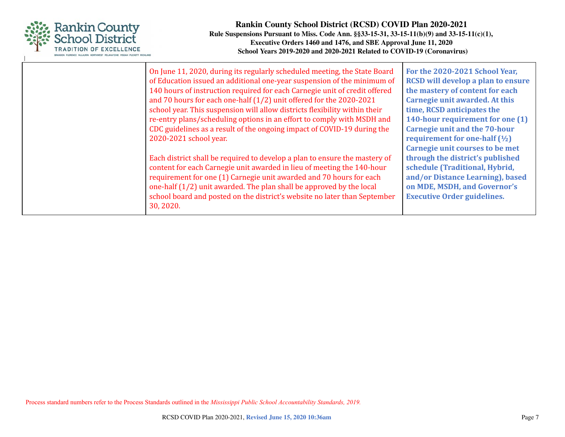

| On June 11, 2020, during its regularly scheduled meeting, the State Board<br>of Education issued an additional one-year suspension of the minimum of<br>140 hours of instruction required for each Carnegie unit of credit offered<br>and 70 hours for each one-half (1/2) unit offered for the 2020-2021<br>school year. This suspension will allow districts flexibility within their       | For the 2020-2021 School Year,<br><b>RCSD</b> will develop a plan to ensure<br>the mastery of content for each<br>Carnegie unit awarded. At this<br>time, RCSD anticipates the |
|-----------------------------------------------------------------------------------------------------------------------------------------------------------------------------------------------------------------------------------------------------------------------------------------------------------------------------------------------------------------------------------------------|--------------------------------------------------------------------------------------------------------------------------------------------------------------------------------|
| re-entry plans/scheduling options in an effort to comply with MSDH and<br>CDC guidelines as a result of the ongoing impact of COVID-19 during the<br>2020-2021 school year.                                                                                                                                                                                                                   | 140-hour requirement for one (1)<br><b>Carnegie unit and the 70-hour</b><br>requirement for one-half $(\frac{1}{2})$<br>Carnegie unit courses to be met                        |
| Each district shall be required to develop a plan to ensure the mastery of<br>content for each Carnegie unit awarded in lieu of meeting the 140-hour<br>requirement for one (1) Carnegie unit awarded and 70 hours for each<br>one-half (1/2) unit awarded. The plan shall be approved by the local<br>school board and posted on the district's website no later than September<br>30, 2020. | through the district's published<br>schedule (Traditional, Hybrid,<br>and/or Distance Learning), based<br>on MDE, MSDH, and Governor's<br><b>Executive Order guidelines.</b>   |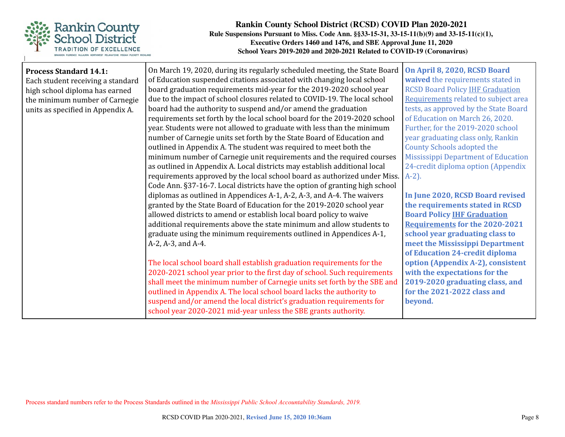

| <b>Process Standard 14.1:</b>     | On March 19, 2020, during its regularly scheduled meeting, the State Board  | On April 8, 2020, RCSD Board               |
|-----------------------------------|-----------------------------------------------------------------------------|--------------------------------------------|
| Each student receiving a standard | of Education suspended citations associated with changing local school      | waived the requirements stated in          |
| high school diploma has earned    | board graduation requirements mid-year for the 2019-2020 school year        | <b>RCSD Board Policy IHF Graduation</b>    |
| the minimum number of Carnegie    | due to the impact of school closures related to COVID-19. The local school  | Requirements related to subject area       |
| units as specified in Appendix A. | board had the authority to suspend and/or amend the graduation              | tests, as approved by the State Board      |
|                                   | requirements set forth by the local school board for the 2019-2020 school   | of Education on March 26, 2020.            |
|                                   | year. Students were not allowed to graduate with less than the minimum      | Further, for the 2019-2020 school          |
|                                   | number of Carnegie units set forth by the State Board of Education and      | year graduating class only, Rankin         |
|                                   | outlined in Appendix A. The student was required to meet both the           | <b>County Schools adopted the</b>          |
|                                   | minimum number of Carnegie unit requirements and the required courses       | <b>Mississippi Department of Education</b> |
|                                   | as outlined in Appendix A. Local districts may establish additional local   | 24-credit diploma option (Appendix         |
|                                   | requirements approved by the local school board as authorized under Miss.   | $A-2$ ).                                   |
|                                   | Code Ann. §37-16-7. Local districts have the option of granting high school |                                            |
|                                   | diplomas as outlined in Appendices A-1, A-2, A-3, and A-4. The waivers      | In June 2020, RCSD Board revised           |
|                                   | granted by the State Board of Education for the 2019-2020 school year       | the requirements stated in RCSD            |
|                                   | allowed districts to amend or establish local board policy to waive         | <b>Board Policy IHF Graduation</b>         |
|                                   | additional requirements above the state minimum and allow students to       | <b>Requirements for the 2020-2021</b>      |
|                                   | graduate using the minimum requirements outlined in Appendices A-1,         | school year graduating class to            |
|                                   | A-2, A-3, and A-4.                                                          | meet the Mississippi Department            |
|                                   |                                                                             | of Education 24-credit diploma             |
|                                   | The local school board shall establish graduation requirements for the      | option (Appendix A-2), consistent          |
|                                   | 2020-2021 school year prior to the first day of school. Such requirements   | with the expectations for the              |
|                                   | shall meet the minimum number of Carnegie units set forth by the SBE and    | 2019-2020 graduating class, and            |
|                                   | outlined in Appendix A. The local school board lacks the authority to       | for the 2021-2022 class and                |
|                                   | suspend and/or amend the local district's graduation requirements for       | beyond.                                    |
|                                   | school year 2020-2021 mid-year unless the SBE grants authority.             |                                            |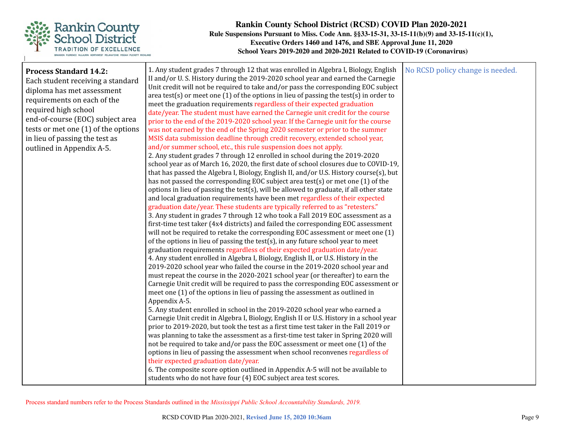

| <b>Process Standard 14.2:</b><br>Each student receiving a standard<br>diploma has met assessment<br>requirements on each of the<br>required high school<br>end-of-course (EOC) subject area<br>tests or met one (1) of the options<br>in lieu of passing the test as<br>outlined in Appendix A-5. | 1. Any student grades 7 through 12 that was enrolled in Algebra I, Biology, English<br>II and/or U.S. History during the 2019-2020 school year and earned the Carnegie<br>Unit credit will not be required to take and/or pass the corresponding EOC subject<br>area test(s) or meet one $(1)$ of the options in lieu of passing the test(s) in order to<br>meet the graduation requirements regardless of their expected graduation<br>date/year. The student must have earned the Carnegie unit credit for the course<br>prior to the end of the 2019-2020 school year. If the Carnegie unit for the course<br>was not earned by the end of the Spring 2020 semester or prior to the summer<br>MSIS data submission deadline through credit recovery, extended school year,<br>and/or summer school, etc., this rule suspension does not apply.<br>2. Any student grades 7 through 12 enrolled in school during the 2019-2020<br>school year as of March 16, 2020, the first date of school closures due to COVID-19,<br>that has passed the Algebra I, Biology, English II, and/or U.S. History course(s), but<br>has not passed the corresponding EOC subject area test(s) or met one (1) of the<br>options in lieu of passing the test(s), will be allowed to graduate, if all other state<br>and local graduation requirements have been met regardless of their expected<br>graduation date/year. These students are typically referred to as "retesters."<br>3. Any student in grades 7 through 12 who took a Fall 2019 EOC assessment as a<br>first-time test taker (4x4 districts) and failed the corresponding EOC assessment<br>will not be required to retake the corresponding EOC assessment or meet one (1)<br>of the options in lieu of passing the test(s), in any future school year to meet<br>graduation requirements regardless of their expected graduation date/year.<br>4. Any student enrolled in Algebra I, Biology, English II, or U.S. History in the<br>2019-2020 school year who failed the course in the 2019-2020 school year and<br>must repeat the course in the 2020-2021 school year (or thereafter) to earn the<br>Carnegie Unit credit will be required to pass the corresponding EOC assessment or<br>meet one (1) of the options in lieu of passing the assessment as outlined in<br>Appendix A-5.<br>5. Any student enrolled in school in the 2019-2020 school year who earned a<br>Carnegie Unit credit in Algebra I, Biology, English II or U.S. History in a school year<br>prior to 2019-2020, but took the test as a first time test taker in the Fall 2019 or<br>was planning to take the assessment as a first-time test taker in Spring 2020 will<br>not be required to take and/or pass the EOC assessment or meet one (1) of the<br>options in lieu of passing the assessment when school reconvenes regardless of<br>their expected graduation date/year.<br>6. The composite score option outlined in Appendix A-5 will not be available to<br>students who do not have four (4) EOC subject area test scores. | No RCSD policy change is needed. |
|---------------------------------------------------------------------------------------------------------------------------------------------------------------------------------------------------------------------------------------------------------------------------------------------------|----------------------------------------------------------------------------------------------------------------------------------------------------------------------------------------------------------------------------------------------------------------------------------------------------------------------------------------------------------------------------------------------------------------------------------------------------------------------------------------------------------------------------------------------------------------------------------------------------------------------------------------------------------------------------------------------------------------------------------------------------------------------------------------------------------------------------------------------------------------------------------------------------------------------------------------------------------------------------------------------------------------------------------------------------------------------------------------------------------------------------------------------------------------------------------------------------------------------------------------------------------------------------------------------------------------------------------------------------------------------------------------------------------------------------------------------------------------------------------------------------------------------------------------------------------------------------------------------------------------------------------------------------------------------------------------------------------------------------------------------------------------------------------------------------------------------------------------------------------------------------------------------------------------------------------------------------------------------------------------------------------------------------------------------------------------------------------------------------------------------------------------------------------------------------------------------------------------------------------------------------------------------------------------------------------------------------------------------------------------------------------------------------------------------------------------------------------------------------------------------------------------------------------------------------------------------------------------------------------------------------------------------------------------------------------------------------------------------------------------------------------------------------------------------------------------------------------------------------------------------------------------------------------------------------------------------------------------------------------------------------------------------------------------------------------------------|----------------------------------|
|---------------------------------------------------------------------------------------------------------------------------------------------------------------------------------------------------------------------------------------------------------------------------------------------------|----------------------------------------------------------------------------------------------------------------------------------------------------------------------------------------------------------------------------------------------------------------------------------------------------------------------------------------------------------------------------------------------------------------------------------------------------------------------------------------------------------------------------------------------------------------------------------------------------------------------------------------------------------------------------------------------------------------------------------------------------------------------------------------------------------------------------------------------------------------------------------------------------------------------------------------------------------------------------------------------------------------------------------------------------------------------------------------------------------------------------------------------------------------------------------------------------------------------------------------------------------------------------------------------------------------------------------------------------------------------------------------------------------------------------------------------------------------------------------------------------------------------------------------------------------------------------------------------------------------------------------------------------------------------------------------------------------------------------------------------------------------------------------------------------------------------------------------------------------------------------------------------------------------------------------------------------------------------------------------------------------------------------------------------------------------------------------------------------------------------------------------------------------------------------------------------------------------------------------------------------------------------------------------------------------------------------------------------------------------------------------------------------------------------------------------------------------------------------------------------------------------------------------------------------------------------------------------------------------------------------------------------------------------------------------------------------------------------------------------------------------------------------------------------------------------------------------------------------------------------------------------------------------------------------------------------------------------------------------------------------------------------------------------------------------------------|----------------------------------|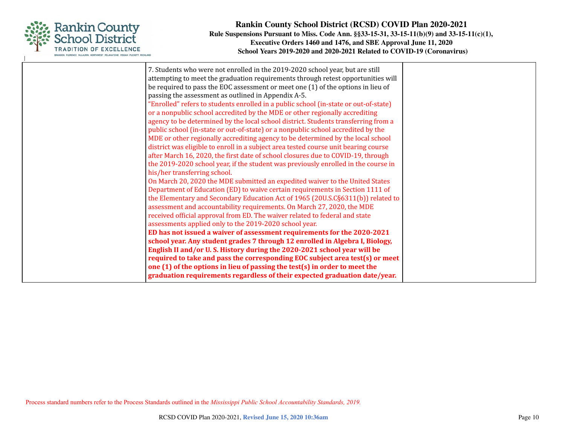

| 7. Students who were not enrolled in the 2019-2020 school year, but are still        |  |
|--------------------------------------------------------------------------------------|--|
| attempting to meet the graduation requirements through retest opportunities will     |  |
| be required to pass the EOC assessment or meet one (1) of the options in lieu of     |  |
| passing the assessment as outlined in Appendix A-5.                                  |  |
| "Enrolled" refers to students enrolled in a public school (in-state or out-of-state) |  |
| or a nonpublic school accredited by the MDE or other regionally accrediting          |  |
| agency to be determined by the local school district. Students transferring from a   |  |
| public school (in-state or out-of-state) or a nonpublic school accredited by the     |  |
| MDE or other regionally accrediting agency to be determined by the local school      |  |
| district was eligible to enroll in a subject area tested course unit bearing course  |  |
| after March 16, 2020, the first date of school closures due to COVID-19, through     |  |
| the 2019-2020 school year, if the student was previously enrolled in the course in   |  |
| his/her transferring school.                                                         |  |
| On March 20, 2020 the MDE submitted an expedited waiver to the United States         |  |
| Department of Education (ED) to waive certain requirements in Section 1111 of        |  |
| the Elementary and Secondary Education Act of 1965 (20U.S.C§6311(b)) related to      |  |
| assessment and accountability requirements. On March 27, 2020, the MDE               |  |
| received official approval from ED. The waiver related to federal and state          |  |
| assessments applied only to the 2019-2020 school year.                               |  |
| ED has not issued a waiver of assessment requirements for the 2020-2021              |  |
| school year. Any student grades 7 through 12 enrolled in Algebra I, Biology,         |  |
| English II and/or U.S. History during the 2020-2021 school year will be              |  |
| required to take and pass the corresponding EOC subject area test(s) or meet         |  |
| one (1) of the options in lieu of passing the test(s) in order to meet the           |  |
|                                                                                      |  |
| graduation requirements regardless of their expected graduation date/year.           |  |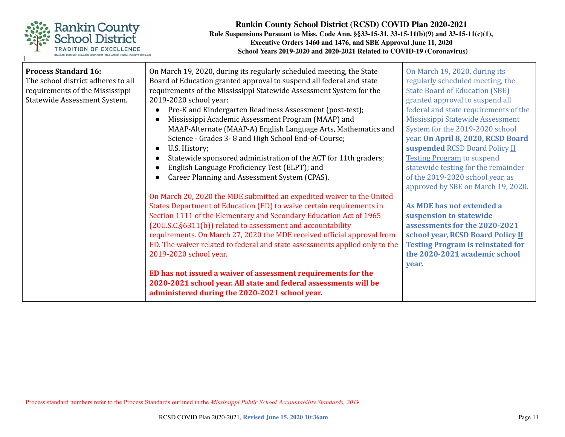

| <b>Process Standard 16:</b>        | On March 19, 2020, during its regularly scheduled meeting, the State        | On March 19, 2020, during its            |
|------------------------------------|-----------------------------------------------------------------------------|------------------------------------------|
|                                    |                                                                             |                                          |
| The school district adheres to all | Board of Education granted approval to suspend all federal and state        | regularly scheduled meeting, the         |
| requirements of the Mississippi    | requirements of the Mississippi Statewide Assessment System for the         | <b>State Board of Education (SBE)</b>    |
| Statewide Assessment System.       | 2019-2020 school year:                                                      | granted approval to suspend all          |
|                                    | Pre-K and Kindergarten Readiness Assessment (post-test);                    | federal and state requirements of the    |
|                                    | Mississippi Academic Assessment Program (MAAP) and                          | Mississippi Statewide Assessment         |
|                                    | MAAP-Alternate (MAAP-A) English Language Arts, Mathematics and              | System for the 2019-2020 school          |
|                                    | Science - Grades 3-8 and High School End-of-Course;                         | year. On April 8, 2020, RCSD Board       |
|                                    | U.S. History;                                                               | suspended RCSD Board Policy II           |
|                                    | Statewide sponsored administration of the ACT for 11th graders;             | <b>Testing Program to suspend</b>        |
|                                    | English Language Proficiency Test (ELPT); and                               | statewide testing for the remainder      |
|                                    | Career Planning and Assessment System (CPAS).                               | of the 2019-2020 school year, as         |
|                                    |                                                                             | approved by SBE on March 19, 2020.       |
|                                    | On March 20, 2020 the MDE submitted an expedited waiver to the United       |                                          |
|                                    | States Department of Education (ED) to waive certain requirements in        | As MDE has not extended a                |
|                                    | Section 1111 of the Elementary and Secondary Education Act of 1965          | suspension to statewide                  |
|                                    | (20U.S.C.§6311(b)) related to assessment and accountability                 | assessments for the 2020-2021            |
|                                    | requirements. On March 27, 2020 the MDE received official approval from     | school year, RCSD Board Policy II        |
|                                    | ED. The waiver related to federal and state assessments applied only to the | <b>Testing Program is reinstated for</b> |
|                                    | 2019-2020 school year.                                                      | the 2020-2021 academic school            |
|                                    |                                                                             |                                          |
|                                    |                                                                             | year.                                    |
|                                    | ED has not issued a waiver of assessment requirements for the               |                                          |
|                                    | 2020-2021 school year. All state and federal assessments will be            |                                          |
|                                    | administered during the 2020-2021 school year.                              |                                          |
|                                    |                                                                             |                                          |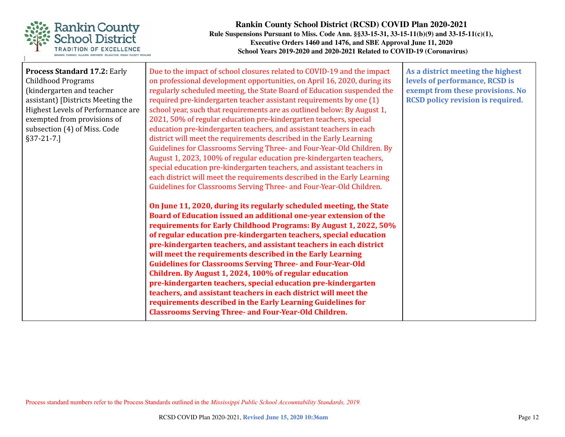

| <b>Process Standard 17.2: Early</b><br><b>Childhood Programs</b><br>(kindergarten and teacher<br>assistant) [Districts Meeting the<br>Highest Levels of Performance are<br>exempted from provisions of<br>subsection (4) of Miss. Code<br>$§37-21-7.$ ] | Due to the impact of school closures related to COVID-19 and the impact<br>on professional development opportunities, on April 16, 2020, during its<br>regularly scheduled meeting, the State Board of Education suspended the<br>required pre-kindergarten teacher assistant requirements by one (1)<br>school year, such that requirements are as outlined below: By August 1,<br>2021, 50% of regular education pre-kindergarten teachers, special<br>education pre-kindergarten teachers, and assistant teachers in each<br>district will meet the requirements described in the Early Learning<br>Guidelines for Classrooms Serving Three- and Four-Year-Old Children. By<br>August 1, 2023, 100% of regular education pre-kindergarten teachers,<br>special education pre-kindergarten teachers, and assistant teachers in<br>each district will meet the requirements described in the Early Learning<br>Guidelines for Classrooms Serving Three- and Four-Year-Old Children. | As a district meeting the highest<br>levels of performance, RCSD is<br>exempt from these provisions. No<br><b>RCSD policy revision is required.</b> |
|---------------------------------------------------------------------------------------------------------------------------------------------------------------------------------------------------------------------------------------------------------|--------------------------------------------------------------------------------------------------------------------------------------------------------------------------------------------------------------------------------------------------------------------------------------------------------------------------------------------------------------------------------------------------------------------------------------------------------------------------------------------------------------------------------------------------------------------------------------------------------------------------------------------------------------------------------------------------------------------------------------------------------------------------------------------------------------------------------------------------------------------------------------------------------------------------------------------------------------------------------------|-----------------------------------------------------------------------------------------------------------------------------------------------------|
|                                                                                                                                                                                                                                                         | On June 11, 2020, during its regularly scheduled meeting, the State<br>Board of Education issued an additional one-year extension of the<br>requirements for Early Childhood Programs: By August 1, 2022, 50%<br>of regular education pre-kindergarten teachers, special education<br>pre-kindergarten teachers, and assistant teachers in each district<br>will meet the requirements described in the Early Learning<br><b>Guidelines for Classrooms Serving Three- and Four-Year-Old</b><br>Children. By August 1, 2024, 100% of regular education<br>pre-kindergarten teachers, special education pre-kindergarten<br>teachers, and assistant teachers in each district will meet the<br>requirements described in the Early Learning Guidelines for<br><b>Classrooms Serving Three- and Four-Year-Old Children.</b>                                                                                                                                                             |                                                                                                                                                     |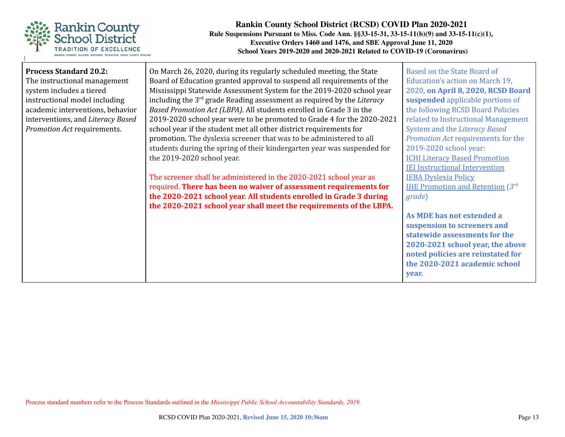

| <b>Process Standard 20.2:</b>     | On March 26, 2020, during its regularly scheduled meeting, the State               | Based on the State Board of                 |
|-----------------------------------|------------------------------------------------------------------------------------|---------------------------------------------|
| The instructional management      | Board of Education granted approval to suspend all requirements of the             | Education's action on March 19,             |
| system includes a tiered          | Mississippi Statewide Assessment System for the 2019-2020 school year              | 2020, on April 8, 2020, RCSD Board          |
| instructional model including     | including the 3 <sup>rd</sup> grade Reading assessment as required by the Literacy | suspended applicable portions of            |
| academic interventions, behavior  | Based Promotion Act (LBPA). All students enrolled in Grade 3 in the                | the following RCSD Board Policies           |
| interventions, and Literacy Based | 2019-2020 school year were to be promoted to Grade 4 for the 2020-2021             | related to Instructional Management         |
| Promotion Act requirements.       | school year if the student met all other district requirements for                 | System and the Literacy Based               |
|                                   | promotion. The dyslexia screener that was to be administered to all                | Promotion Act requirements for the          |
|                                   | students during the spring of their kindergarten year was suspended for            | 2019-2020 school year:                      |
|                                   | the 2019-2020 school year.                                                         | <b>ICHI Literacy Based Promotion</b>        |
|                                   |                                                                                    | <b>IEI Instructional Intervention</b>       |
|                                   | The screener shall be administered in the 2020-2021 school year as                 | <b>IEBA Dyslexia Policy</b>                 |
|                                   | required. There has been no waiver of assessment requirements for                  | <b>IHE Promotion and Retention</b> $3^{rd}$ |
|                                   | the 2020-2021 school year. All students enrolled in Grade 3 during                 | grade)                                      |
|                                   | the 2020-2021 school year shall meet the requirements of the LBPA.                 |                                             |
|                                   |                                                                                    | As MDE has not extended a                   |
|                                   |                                                                                    | suspension to screeners and                 |
|                                   |                                                                                    | statewide assessments for the               |
|                                   |                                                                                    | 2020-2021 school year, the above            |
|                                   |                                                                                    | noted policies are reinstated for           |
|                                   |                                                                                    | the 2020-2021 academic school               |
|                                   |                                                                                    | vear.                                       |
|                                   |                                                                                    |                                             |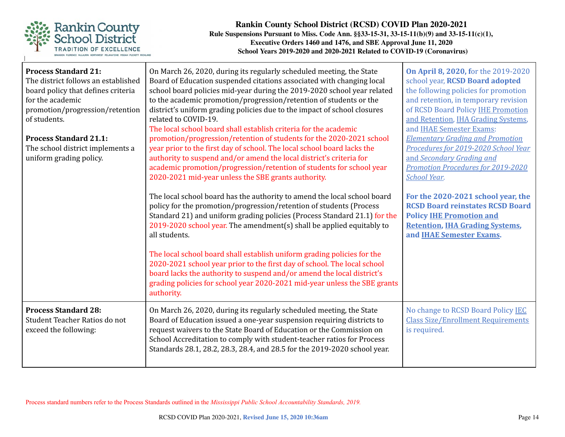

| <b>Process Standard 21:</b><br>The district follows an established<br>board policy that defines criteria<br>for the academic<br>promotion/progression/retention<br>of students.<br><b>Process Standard 21.1:</b><br>The school district implements a<br>uniform grading policy. | On March 26, 2020, during its regularly scheduled meeting, the State<br>Board of Education suspended citations associated with changing local<br>school board policies mid-year during the 2019-2020 school year related<br>to the academic promotion/progression/retention of students or the<br>district's uniform grading policies due to the impact of school closures<br>related to COVID-19.<br>The local school board shall establish criteria for the academic<br>promotion/progression/retention of students for the 2020-2021 school<br>year prior to the first day of school. The local school board lacks the<br>authority to suspend and/or amend the local district's criteria for<br>academic promotion/progression/retention of students for school year<br>2020-2021 mid-year unless the SBE grants authority.<br>The local school board has the authority to amend the local school board<br>policy for the promotion/progression/retention of students (Process<br>Standard 21) and uniform grading policies (Process Standard 21.1) for the<br>2019-2020 school year. The amendment(s) shall be applied equitably to<br>all students.<br>The local school board shall establish uniform grading policies for the<br>2020-2021 school year prior to the first day of school. The local school<br>board lacks the authority to suspend and/or amend the local district's<br>grading policies for school year 2020-2021 mid-year unless the SBE grants<br>authority. | On April 8, 2020, for the 2019-2020<br>school year, RCSD Board adopted<br>the following policies for promotion<br>and retention, in temporary revision<br>of RCSD Board Policy IHE Promotion<br>and Retention, IHA Grading Systems,<br>and IHAE Semester Exams:<br><b>Elementary Grading and Promotion</b><br>Procedures for 2019-2020 School Year<br>and Secondary Grading and<br>Promotion Procedures for 2019-2020<br>School Year.<br>For the 2020-2021 school year, the<br><b>RCSD Board reinstates RCSD Board</b><br><b>Policy IHE Promotion and</b><br><b>Retention, IHA Grading Systems,</b><br>and IHAE Semester Exams. |
|---------------------------------------------------------------------------------------------------------------------------------------------------------------------------------------------------------------------------------------------------------------------------------|---------------------------------------------------------------------------------------------------------------------------------------------------------------------------------------------------------------------------------------------------------------------------------------------------------------------------------------------------------------------------------------------------------------------------------------------------------------------------------------------------------------------------------------------------------------------------------------------------------------------------------------------------------------------------------------------------------------------------------------------------------------------------------------------------------------------------------------------------------------------------------------------------------------------------------------------------------------------------------------------------------------------------------------------------------------------------------------------------------------------------------------------------------------------------------------------------------------------------------------------------------------------------------------------------------------------------------------------------------------------------------------------------------------------------------------------------------------------------------------|---------------------------------------------------------------------------------------------------------------------------------------------------------------------------------------------------------------------------------------------------------------------------------------------------------------------------------------------------------------------------------------------------------------------------------------------------------------------------------------------------------------------------------------------------------------------------------------------------------------------------------|
| <b>Process Standard 28:</b><br>Student Teacher Ratios do not<br>exceed the following:                                                                                                                                                                                           | On March 26, 2020, during its regularly scheduled meeting, the State<br>Board of Education issued a one-year suspension requiring districts to<br>request waivers to the State Board of Education or the Commission on<br>School Accreditation to comply with student-teacher ratios for Process<br>Standards 28.1, 28.2, 28.3, 28.4, and 28.5 for the 2019-2020 school year.                                                                                                                                                                                                                                                                                                                                                                                                                                                                                                                                                                                                                                                                                                                                                                                                                                                                                                                                                                                                                                                                                                         | No change to RCSD Board Policy IEC<br><b>Class Size/Enrollment Requirements</b><br>is required.                                                                                                                                                                                                                                                                                                                                                                                                                                                                                                                                 |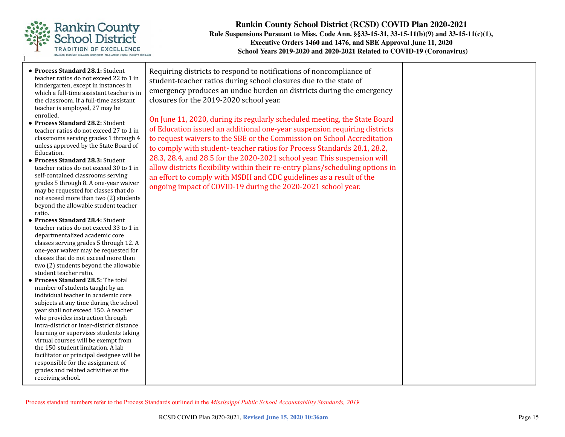

- **● Process Standard 28.1:** Student teacher ratios do not exceed 22 to 1 in kindergarten, except in instances in which a full-time assistant teacher is in the classroom. If a full-time assistant teacher is employed, 27 may be enrolled.
- **● Process Standard 28.2:** Student teacher ratios do not exceed 27 to 1 in classrooms serving grades 1 through 4 unless approved by the State Board of Education.
- **● Process Standard 28.3:** Student teacher ratios do not exceed 30 to 1 in self-contained classrooms serving grades 5 through 8. A one-year waiver may be requested for classes that do not exceed more than two (2) students beyond the allowable student teacher ratio.
- **● Process Standard 28.4:** Student teacher ratios do not exceed 33 to 1 in departmentalized academic core classes serving grades 5 through 12. A one-year waiver may be requested for classes that do not exceed more than two (2) students beyond the allowable student teacher ratio.
- **● Process Standard 28.5:** The total number of students taught by an individual teacher in academic core subjects at any time during the school year shall not exceed 150. A teacher who provides instruction through intra-district or inter-district distance learning or supervises students taking virtual courses will be exempt from the 150-student limitation. A lab facilitator or principal designee will be responsible for the assignment of grades and related activities at the receiving school.

Requiring districts to respond to notifications of noncompliance of student-teacher ratios during school closures due to the state of emergency produces an undue burden on districts during the emergency closures for the 2019-2020 school year.

On June 11, 2020, during its regularly scheduled meeting, the State Board of Education issued an additional one-year suspension requiring districts to request waivers to the SBE or the Commission on School Accreditation to comply with student- teacher ratios for Process Standards 28.1, 28.2, 28.3, 28.4, and 28.5 for the 2020-2021 school year. This suspension will allow districts flexibility within their re-entry plans/scheduling options in an effort to comply with MSDH and CDC guidelines as a result of the ongoing impact of COVID-19 during the 2020-2021 school year.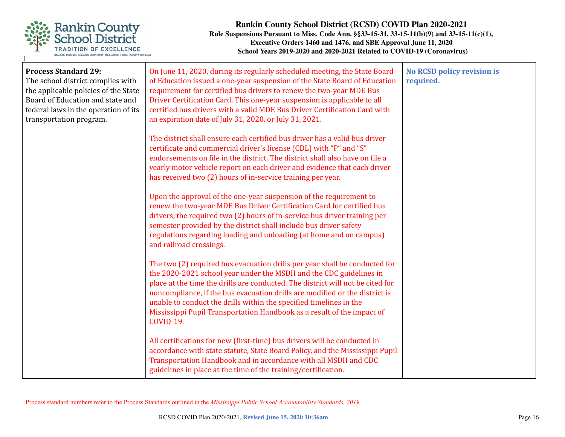

| <b>Process Standard 29:</b><br>The school district complies with<br>the applicable policies of the State<br>Board of Education and state and<br>federal laws in the operation of its<br>transportation program. | On June 11, 2020, during its regularly scheduled meeting, the State Board<br>of Education issued a one-year suspension of the State Board of Education<br>requirement for certified bus drivers to renew the two-year MDE Bus<br>Driver Certification Card. This one-year suspension is applicable to all<br>certified bus drivers with a valid MDE Bus Driver Certification Card with<br>an expiration date of July 31, 2020, or July 31, 2021.                                      | <b>No RCSD policy revision is</b><br>required. |
|-----------------------------------------------------------------------------------------------------------------------------------------------------------------------------------------------------------------|---------------------------------------------------------------------------------------------------------------------------------------------------------------------------------------------------------------------------------------------------------------------------------------------------------------------------------------------------------------------------------------------------------------------------------------------------------------------------------------|------------------------------------------------|
|                                                                                                                                                                                                                 | The district shall ensure each certified bus driver has a valid bus driver<br>certificate and commercial driver's license (CDL) with "P" and "S"<br>endorsements on file in the district. The district shall also have on file a<br>yearly motor vehicle report on each driver and evidence that each driver<br>has received two (2) hours of in-service training per year.                                                                                                           |                                                |
|                                                                                                                                                                                                                 | Upon the approval of the one-year suspension of the requirement to<br>renew the two-year MDE Bus Driver Certification Card for certified bus<br>drivers, the required two (2) hours of in-service bus driver training per<br>semester provided by the district shall include bus driver safety<br>regulations regarding loading and unloading (at home and on campus)<br>and railroad crossings.                                                                                      |                                                |
|                                                                                                                                                                                                                 | The two (2) required bus evacuation drills per year shall be conducted for<br>the 2020-2021 school year under the MSDH and the CDC guidelines in<br>place at the time the drills are conducted. The district will not be cited for<br>noncompliance, if the bus evacuation drills are modified or the district is<br>unable to conduct the drills within the specified timelines in the<br>Mississippi Pupil Transportation Handbook as a result of the impact of<br><b>COVID-19.</b> |                                                |
|                                                                                                                                                                                                                 | All certifications for new (first-time) bus drivers will be conducted in<br>accordance with state statute, State Board Policy, and the Mississippi Pupil<br>Transportation Handbook and in accordance with all MSDH and CDC<br>guidelines in place at the time of the training/certification.                                                                                                                                                                                         |                                                |

Process standard numbers refer to the Process Standards outlined in the *Mississippi Public School Accountability Standards, 2019.*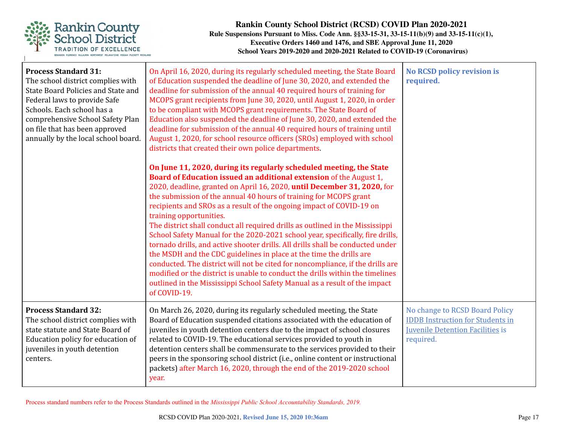

| <b>Process Standard 31:</b><br>The school district complies with<br>State Board Policies and State and<br>Federal laws to provide Safe<br>Schools. Each school has a<br>comprehensive School Safety Plan<br>on file that has been approved<br>annually by the local school board. | On April 16, 2020, during its regularly scheduled meeting, the State Board<br>of Education suspended the deadline of June 30, 2020, and extended the<br>deadline for submission of the annual 40 required hours of training for<br>MCOPS grant recipients from June 30, 2020, until August 1, 2020, in order<br>to be compliant with MCOPS grant requirements. The State Board of<br>Education also suspended the deadline of June 30, 2020, and extended the<br>deadline for submission of the annual 40 required hours of training until<br>August 1, 2020, for school resource officers (SROs) employed with school<br>districts that created their own police departments.<br>On June 11, 2020, during its regularly scheduled meeting, the State<br>Board of Education issued an additional extension of the August 1,<br>2020, deadline, granted on April 16, 2020, until December 31, 2020, for<br>the submission of the annual 40 hours of training for MCOPS grant<br>recipients and SROs as a result of the ongoing impact of COVID-19 on<br>training opportunities.<br>The district shall conduct all required drills as outlined in the Mississippi<br>School Safety Manual for the 2020-2021 school year, specifically, fire drills,<br>tornado drills, and active shooter drills. All drills shall be conducted under<br>the MSDH and the CDC guidelines in place at the time the drills are<br>conducted. The district will not be cited for noncompliance, if the drills are<br>modified or the district is unable to conduct the drills within the timelines<br>outlined in the Mississippi School Safety Manual as a result of the impact<br>of COVID-19. | <b>No RCSD policy revision is</b><br>required.                                                                                    |
|-----------------------------------------------------------------------------------------------------------------------------------------------------------------------------------------------------------------------------------------------------------------------------------|-----------------------------------------------------------------------------------------------------------------------------------------------------------------------------------------------------------------------------------------------------------------------------------------------------------------------------------------------------------------------------------------------------------------------------------------------------------------------------------------------------------------------------------------------------------------------------------------------------------------------------------------------------------------------------------------------------------------------------------------------------------------------------------------------------------------------------------------------------------------------------------------------------------------------------------------------------------------------------------------------------------------------------------------------------------------------------------------------------------------------------------------------------------------------------------------------------------------------------------------------------------------------------------------------------------------------------------------------------------------------------------------------------------------------------------------------------------------------------------------------------------------------------------------------------------------------------------------------------------------------------------------------------------------------------|-----------------------------------------------------------------------------------------------------------------------------------|
| <b>Process Standard 32:</b><br>The school district complies with<br>state statute and State Board of<br>Education policy for education of<br>juveniles in youth detention<br>centers.                                                                                             | On March 26, 2020, during its regularly scheduled meeting, the State<br>Board of Education suspended citations associated with the education of<br>juveniles in youth detention centers due to the impact of school closures<br>related to COVID-19. The educational services provided to youth in<br>detention centers shall be commensurate to the services provided to their<br>peers in the sponsoring school district (i.e., online content or instructional<br>packets) after March 16, 2020, through the end of the 2019-2020 school<br>year.                                                                                                                                                                                                                                                                                                                                                                                                                                                                                                                                                                                                                                                                                                                                                                                                                                                                                                                                                                                                                                                                                                                        | No change to RCSD Board Policy<br><b>IDDB</b> Instruction for Students in<br><b>Juvenile Detention Facilities is</b><br>required. |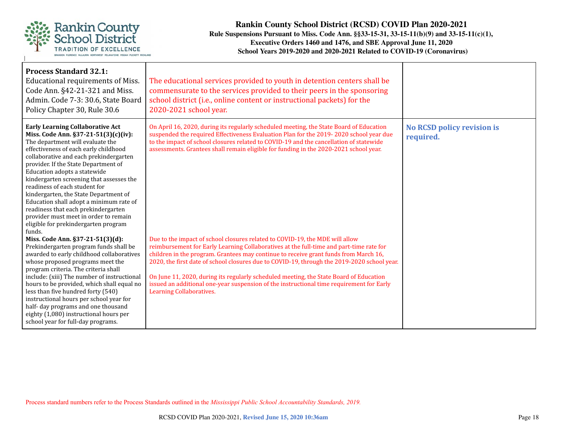

| <b>Process Standard 32.1:</b><br>Educational requirements of Miss.<br>Code Ann. §42-21-321 and Miss.<br>Admin. Code 7-3: 30.6, State Board<br>Policy Chapter 30, Rule 30.6                                                                                                                                                                                                                                                                                                                                                                                                                                                                                                                                                                       | The educational services provided to youth in detention centers shall be<br>commensurate to the services provided to their peers in the sponsoring<br>school district (i.e., online content or instructional packets) for the<br>2020-2021 school year.                                                                                                                                                                                                                                                                                                                                                                                                                                                                                |                                                |
|--------------------------------------------------------------------------------------------------------------------------------------------------------------------------------------------------------------------------------------------------------------------------------------------------------------------------------------------------------------------------------------------------------------------------------------------------------------------------------------------------------------------------------------------------------------------------------------------------------------------------------------------------------------------------------------------------------------------------------------------------|----------------------------------------------------------------------------------------------------------------------------------------------------------------------------------------------------------------------------------------------------------------------------------------------------------------------------------------------------------------------------------------------------------------------------------------------------------------------------------------------------------------------------------------------------------------------------------------------------------------------------------------------------------------------------------------------------------------------------------------|------------------------------------------------|
| <b>Early Learning Collaborative Act</b><br>Miss. Code Ann. §37-21-51(3)(c)(iv):<br>The department will evaluate the<br>effectiveness of each early childhood<br>collaborative and each prekindergarten<br>provider. If the State Department of<br>Education adopts a statewide<br>kindergarten screening that assesses the<br>readiness of each student for<br>kindergarten, the State Department of<br>Education shall adopt a minimum rate of<br>readiness that each prekindergarten<br>provider must meet in order to remain<br>eligible for prekindergarten program<br>funds.<br>Miss. Code Ann. §37-21-51(3)(d):<br>Prekindergarten program funds shall be<br>awarded to early childhood collaboratives<br>whose proposed programs meet the | On April 16, 2020, during its regularly scheduled meeting, the State Board of Education<br>suspended the required Effectiveness Evaluation Plan for the 2019-2020 school year due<br>to the impact of school closures related to COVID-19 and the cancellation of statewide<br>assessments. Grantees shall remain eligible for funding in the 2020-2021 school year.<br>Due to the impact of school closures related to COVID-19, the MDE will allow<br>reimbursement for Early Learning Collaboratives at the full-time and part-time rate for<br>children in the program. Grantees may continue to receive grant funds from March 16,<br>2020, the first date of school closures due to COVID-19, through the 2019-2020 school year. | <b>No RCSD policy revision is</b><br>required. |
| program criteria. The criteria shall<br>include: (xiii) The number of instructional<br>hours to be provided, which shall equal no<br>less than five hundred forty (540)<br>instructional hours per school year for<br>half- day programs and one thousand<br>eighty (1,080) instructional hours per<br>school year for full-day programs.                                                                                                                                                                                                                                                                                                                                                                                                        | On June 11, 2020, during its regularly scheduled meeting, the State Board of Education<br>issued an additional one-year suspension of the instructional time requirement for Early<br><b>Learning Collaboratives.</b>                                                                                                                                                                                                                                                                                                                                                                                                                                                                                                                  |                                                |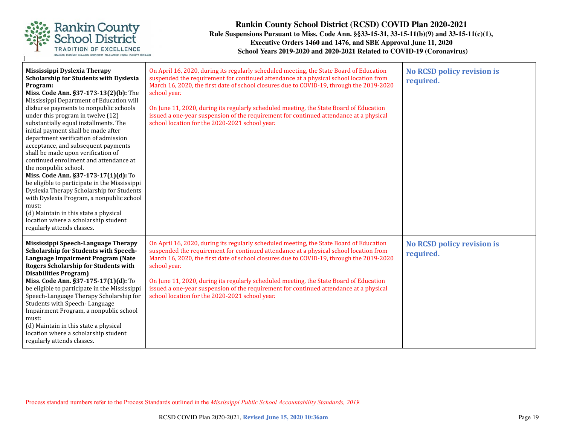

| Mississippi Dyslexia Therapy<br><b>Scholarship for Students with Dyslexia</b><br>Program:<br>Miss. Code Ann. §37-173-13(2)(b): The<br>Mississippi Department of Education will<br>disburse payments to nonpublic schools<br>under this program in twelve (12)<br>substantially equal installments. The<br>initial payment shall be made after<br>department verification of admission<br>acceptance, and subsequent payments<br>shall be made upon verification of<br>continued enrollment and attendance at<br>the nonpublic school.<br>Miss. Code Ann. §37-173-17(1)(d): To<br>be eligible to participate in the Mississippi<br>Dyslexia Therapy Scholarship for Students<br>with Dyslexia Program, a nonpublic school<br>must:<br>(d) Maintain in this state a physical<br>location where a scholarship student<br>regularly attends classes. | On April 16, 2020, during its regularly scheduled meeting, the State Board of Education<br>suspended the requirement for continued attendance at a physical school location from<br>March 16, 2020, the first date of school closures due to COVID-19, through the 2019-2020<br>school year.<br>On June 11, 2020, during its regularly scheduled meeting, the State Board of Education<br>issued a one-year suspension of the requirement for continued attendance at a physical<br>school location for the 2020-2021 school year. | <b>No RCSD policy revision is</b><br>required. |
|--------------------------------------------------------------------------------------------------------------------------------------------------------------------------------------------------------------------------------------------------------------------------------------------------------------------------------------------------------------------------------------------------------------------------------------------------------------------------------------------------------------------------------------------------------------------------------------------------------------------------------------------------------------------------------------------------------------------------------------------------------------------------------------------------------------------------------------------------|------------------------------------------------------------------------------------------------------------------------------------------------------------------------------------------------------------------------------------------------------------------------------------------------------------------------------------------------------------------------------------------------------------------------------------------------------------------------------------------------------------------------------------|------------------------------------------------|
| Mississippi Speech-Language Therapy<br><b>Scholarship for Students with Speech-</b><br>Language Impairment Program (Nate<br><b>Rogers Scholarship for Students with</b><br><b>Disabilities Program)</b><br>Miss. Code Ann. §37-175-17(1)(d): To<br>be eligible to participate in the Mississippi<br>Speech-Language Therapy Scholarship for<br>Students with Speech-Language<br>Impairment Program, a nonpublic school<br>must:<br>(d) Maintain in this state a physical<br>location where a scholarship student<br>regularly attends classes.                                                                                                                                                                                                                                                                                                   | On April 16, 2020, during its regularly scheduled meeting, the State Board of Education<br>suspended the requirement for continued attendance at a physical school location from<br>March 16, 2020, the first date of school closures due to COVID-19, through the 2019-2020<br>school year.<br>On June 11, 2020, during its regularly scheduled meeting, the State Board of Education<br>issued a one-year suspension of the requirement for continued attendance at a physical<br>school location for the 2020-2021 school year. | <b>No RCSD policy revision is</b><br>required. |